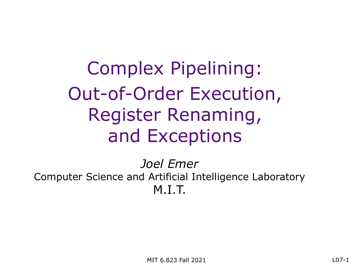Complex Pipelining: Out-of-Order Execution, Register Renaming, and Exceptions

*Joel Emer* Computer Science and Artificial Intelligence Laboratory M.I.T.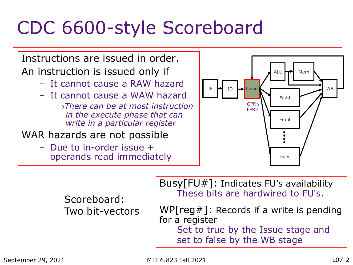## CDC 6600-style Scoreboard

Instructions are issued in order. An instruction is issued only if

- It cannot cause a RAW hazard
- It cannot cause a WAW hazard
	- Þ*There can be at most instruction in the execute phase that can write in a particular register*
- WAR hazards are not possible
	- Due to in-order issue + operands read immediately



Scoreboard: Two bit-vectors Busy[FU#]: Indicates FU's availability These bits are hardwired to FU's.

WP[ $reg#$ ]: Records if a write is pending for a register Set to true by the Issue stage and set to false by the WB stage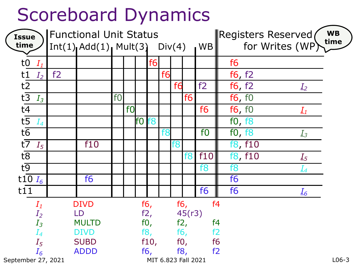### Scoreboard Dynamics

| <b>Issue</b><br>time                      | <b>Functional Unit Status</b><br>$Int(1)$ $Add(1)$ $Mult(3)$ $Div(4)$<br><b>WB</b> |              |                |                |      |        |                | WB<br>time<br>Registers Reserved<br>for Writes (WP) |     |                |                                     |
|-------------------------------------------|------------------------------------------------------------------------------------|--------------|----------------|----------------|------|--------|----------------|-----------------------------------------------------|-----|----------------|-------------------------------------|
|                                           |                                                                                    |              |                |                |      |        |                |                                                     |     |                |                                     |
| to $I_1$                                  |                                                                                    |              |                |                |      | f6     |                |                                                     |     |                | f <sub>6</sub>                      |
| t1<br>$I_2$                               | f2                                                                                 |              |                |                |      |        | f <sub>6</sub> |                                                     |     |                | f6, f2                              |
| $t\overline{2}$                           |                                                                                    |              |                |                |      |        |                | f6                                                  |     | f2             | f6, f2<br>$I_2$                     |
| $t\overline{3}$<br>$I_3$                  |                                                                                    |              | f <sub>0</sub> |                |      |        |                |                                                     | f6  |                | f6, f0                              |
| $t\overline{4}$                           |                                                                                    |              |                | f <sub>0</sub> |      |        |                |                                                     |     | f <sub>6</sub> | f6, f0<br>$I_1$                     |
| $t\overline{5}$<br>$I_4$                  |                                                                                    |              |                |                | f0 l | f8     |                |                                                     |     |                | f0, f8                              |
| $t\overline{6}$                           |                                                                                    |              |                |                |      |        | f <sub>8</sub> |                                                     |     | f <sub>0</sub> | f0, f8<br>$I_3$                     |
| $t\overline{7}$<br>$I_5$                  |                                                                                    | f10          |                |                |      |        |                | f8                                                  |     |                | f8, f10                             |
| $t\overline{8}$                           |                                                                                    |              |                |                |      |        |                |                                                     | f8  | f10            | f8, f10<br>$I_5$                    |
| $t\overline{9}$                           |                                                                                    |              |                |                |      |        |                |                                                     |     | f <sub>8</sub> | f8<br>$I_4$                         |
| t10 $I_6$                                 |                                                                                    | f6           |                |                |      |        |                |                                                     |     |                | f <sub>6</sub>                      |
| t11                                       |                                                                                    |              |                |                |      |        |                |                                                     |     | f <sub>6</sub> | f <sub>6</sub><br>$\underline{I_6}$ |
| $I_1$                                     |                                                                                    | <b>DIVD</b>  |                |                |      | f $6,$ |                | f6,                                                 |     |                | f <sub>4</sub>                      |
| $I_2$                                     |                                                                                    | f2,<br>LD    |                |                |      | 45(r3) |                |                                                     |     |                |                                     |
| $I_3$                                     |                                                                                    | <b>MULTD</b> |                |                |      | f0,    |                | f2,                                                 |     |                | f <sub>4</sub>                      |
| $I_4$                                     |                                                                                    | <b>DIVD</b>  |                |                |      | f8,    |                |                                                     | f6, |                | f2                                  |
| $I_5$                                     |                                                                                    | <b>SUBD</b>  |                |                |      | f10,   |                | f0,                                                 |     |                | f <sub>6</sub>                      |
| $I_6$                                     |                                                                                    | <b>ADDD</b>  |                |                |      | f6,    |                | f8,                                                 |     |                | f2                                  |
| September 27, 2021<br>MIT 6.823 Fall 2021 |                                                                                    |              |                |                |      |        |                | $L$ 06-3                                            |     |                |                                     |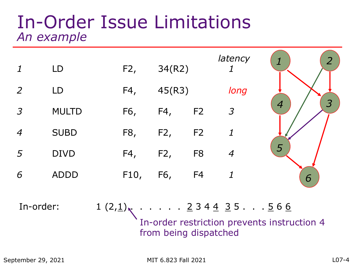#### In-Order Issue Limitations *An example*



In-order:  $1 (2,1)$ , ..... 2 3 4 4 3 5 ... 5 6 6 In-order restriction prevents instruction 4 from being dispatched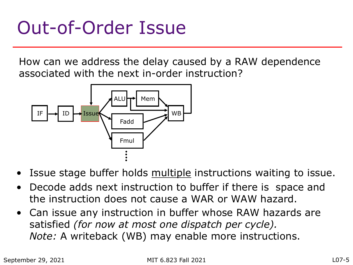## Out-of-Order Issue

How can we address the delay caused by a RAW dependence associated with the next in-order instruction?



- Issue stage buffer holds multiple instructions waiting to issue.
- Decode adds next instruction to buffer if there is space and the instruction does not cause a WAR or WAW hazard.
- Can issue any instruction in buffer whose RAW hazards are satisfied *(for now at most one dispatch per cycle). Note:* A writeback (WB) may enable more instructions.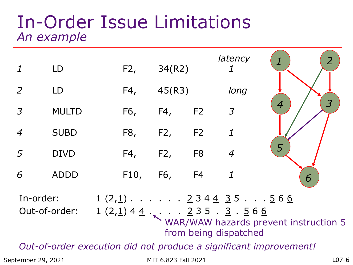#### In-Order Issue Limitations *An example*

|                                                                   | LD           |  | F2,  | 34(R2) |                | latency<br>1                                                                                                       | $\overline{2}$                               |  |
|-------------------------------------------------------------------|--------------|--|------|--------|----------------|--------------------------------------------------------------------------------------------------------------------|----------------------------------------------|--|
| 2                                                                 | LD           |  | F4,  | 45(R3) |                | long                                                                                                               |                                              |  |
| $\overline{3}$                                                    | <b>MULTD</b> |  | F6,  | F4,    | F2             | $\mathfrak{Z}$                                                                                                     | $\overline{\mathcal{S}}$<br>$\boldsymbol{4}$ |  |
| $\boldsymbol{4}$                                                  | <b>SUBD</b>  |  | F8,  | F2,    | F <sub>2</sub> | $\boldsymbol{\mathit{1}}$                                                                                          |                                              |  |
| 5                                                                 | <b>DIVD</b>  |  | F4,  | F2,    | F <sub>8</sub> | $\overline{4}$                                                                                                     | 5                                            |  |
| 6                                                                 | <b>ADDD</b>  |  | F10, | F6,    | F4             | $\boldsymbol{\mathcal{1}}$                                                                                         | 6                                            |  |
| In-order:<br>Out-of-order:                                        |              |  |      |        |                | $1(2,1)$ 2344 35566<br>$1(2,1)$ 4 4 $\cdot$ $\cdot$ $\cdot$ 2 3 5 $\cdot$ 3 $\cdot$ 5 6 6<br>from being dispatched | WAR/WAW hazards prevent instruction 5        |  |
| Out-of-order execution did not produce a significant improvement! |              |  |      |        |                |                                                                                                                    |                                              |  |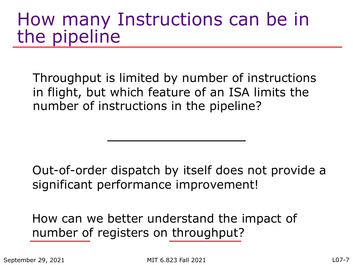#### How many Instructions can be in the pipeline

Throughput is limited by number of instructions in flight, but which feature of an ISA limits the number of instructions in the pipeline?

Out-of-order dispatch by itself does not provide a significant performance improvement!

How can we better understand the impact of number of registers on throughput?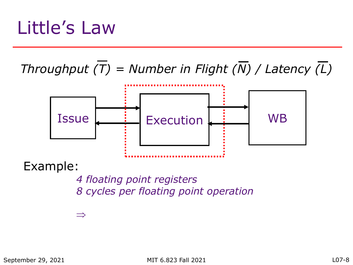### Little's Law

#### *Throughput* (T) = Number in Flight ( $\overline{N}$ ) / Latency  $\overline{L}$ )



Example:

*4 floating point registers 8 cycles per floating point operation*

 $\equiv$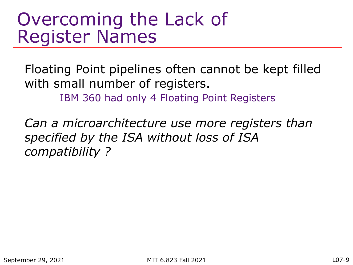#### Overcoming the Lack of Register Names

Floating Point pipelines often cannot be kept filled with small number of registers. IBM 360 had only 4 Floating Point Registers

*Can a microarchitecture use more registers than specified by the ISA without loss of ISA compatibility ?*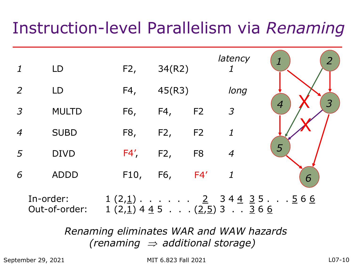#### Instruction-level Parallelism via *Renaming*



*Renaming eliminates WAR and WAW hazards (renaming*  $\Rightarrow$  *additional storage)* 

September 29, 2021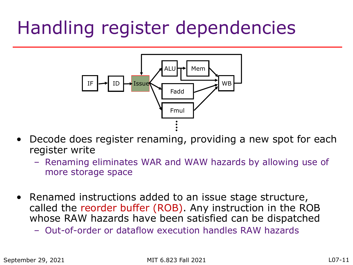## Handling register dependencies



- Decode does register renaming, providing a new spot for each register write
	- Renaming eliminates WAR and WAW hazards by allowing use of more storage space
- Renamed instructions added to an issue stage structure, called the reorder buffer (ROB). Any instruction in the ROB whose RAW hazards have been satisfied can be dispatched
	- Out-of-order or dataflow execution handles RAW hazards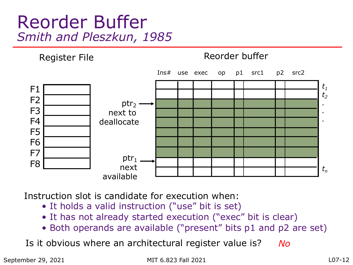#### Reorder Buffer *Smith and Pleszkun, 1985*



Instruction slot is candidate for execution when:

- It holds a valid instruction ("use" bit is set)
- It has not already started execution ("exec" bit is clear)
- Both operands are available ("present" bits p1 and p2 are set)

Is it obvious where an architectural register value is? *No*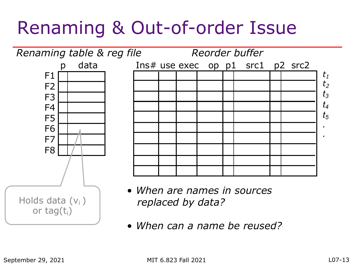## Renaming & Out-of-order Issue



• *When can a name be reused?*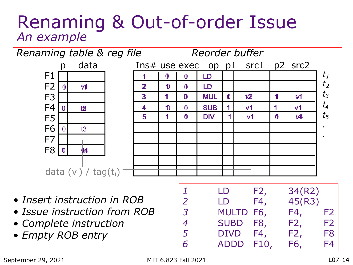#### Renaming & Out-of-order Issue *An example*



- *Insert instruction in ROB*
- *Issue instruction from ROB*
- *Complete instruction*
- *Empty ROB entry*

| 1              | LD          | F2, | 34(R2) |                |
|----------------|-------------|-----|--------|----------------|
| 2              | LD          | F4, | 45(R3) |                |
| $\overline{3}$ | MULTD F6,   |     | F4,    | F <sub>2</sub> |
| $\overline{4}$ | SUBD F8,    |     | F2,    | F <sub>2</sub> |
| 5              | <b>DIVD</b> | F4, | F2,    | F8             |
| 6              | ADDD F10,   |     | F6,    | F4             |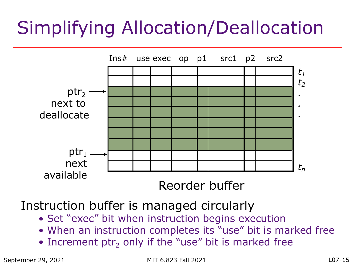# Simplifying Allocation/Deallocation



Instruction buffer is managed circularly

- Set "exec" bit when instruction begins execution
- When an instruction completes its "use" bit is marked free
- Increment ptr<sub>2</sub> only if the "use" bit is marked free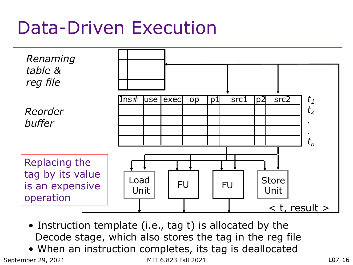### Data-Driven Execution



- Instruction template (i.e., tag t) is allocated by the Decode stage, which also stores the tag in the reg file
- When an instruction completes, its tag is deallocated

September 29, 2021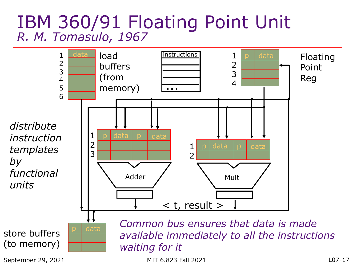#### IBM 360/91 Floating Point Unit *R. M. Tomasulo, 1967*

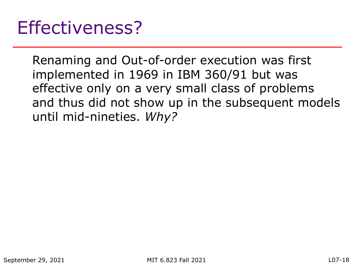Renaming and Out-of-order execution was first implemented in 1969 in IBM 360/91 but was effective only on a very small class of problems and thus did not show up in the subsequent models until mid-nineties. *Why?*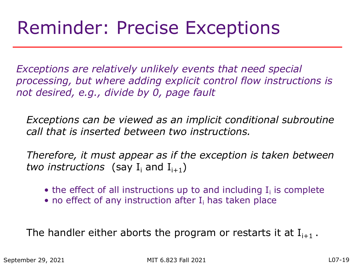### Reminder: Precise Exceptions

*Exceptions are relatively unlikely events that need special processing, but where adding explicit control flow instructions is not desired, e.g., divide by 0, page fault*

*Exceptions can be viewed as an implicit conditional subroutine call that is inserted between two instructions.*

*Therefore, it must appear as if the exception is taken between two instructions* (say  $I_i$  and  $I_{i+1}$ )

- the effect of all instructions up to and including  $I_i$  is complete
- no effect of any instruction after  $I_i$  has taken place

The handler either aborts the program or restarts it at  $I_{i+1}$ .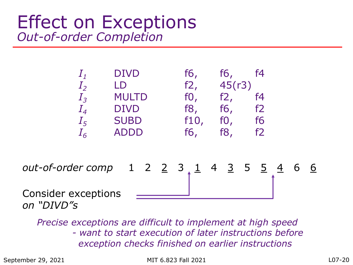#### Effect on Exceptions *Out-of-order Completion*

| $I_1$   | <b>DIVD</b>  | f6,    | f6,    | f4 |  |
|---------|--------------|--------|--------|----|--|
| $I_{2}$ | LD           | f2,    | 45(r3) |    |  |
| $I_3$   | <b>MULTD</b> | $f0$ , | f2,    | f4 |  |
| $I_{4}$ | <b>DIVD</b>  | f8,    | f6,    | f2 |  |
| $I_5$   | <b>SUBD</b>  | f10,   | f0,    | f6 |  |
| $I_6$   | <b>ADDD</b>  | f6,    | f8,    | f2 |  |
|         |              |        |        |    |  |
|         |              |        |        |    |  |

*out-of-order comp* 1 2 2 3  $1$  4 3 5 5  $\frac{4}{1}$  6 6 Consider exceptions

*Precise exceptions are difficult to implement at high speed - want to start execution of later instructions before exception checks finished on earlier instructions*

September 29, 2021

*on "DIVD"s*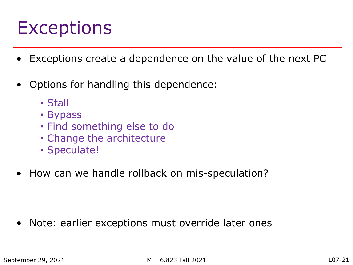### Exceptions

- Exceptions create a dependence on the value of the next PC
- Options for handling this dependence:
	- Stall
	- Bypass
	- Find something else to do
	- Change the architecture
	- Speculate!
- How can we handle rollback on mis-speculation?

Note: earlier exceptions must override later ones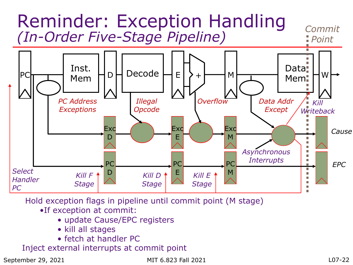

Hold exception flags in pipeline until commit point (M stage)

- •If exception at commit:
	- update Cause/EPC registers
	- kill all stages
	- fetch at handler PC

Inject external interrupts at commit point

September 29, 2021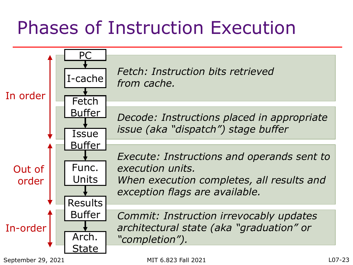# Phases of Instruction Execution

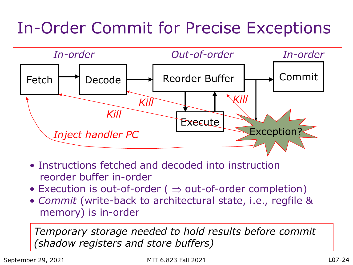#### In-Order Commit for Precise Exceptions



- Instructions fetched and decoded into instruction reorder buffer in-order
- Execution is out-of-order ( $\Rightarrow$  out-of-order completion)
- *Commit* (write-back to architectural state, i.e., regfile & memory) is in-order

*Temporary storage needed to hold results before commit (shadow registers and store buffers)*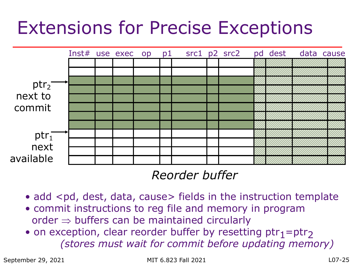### Extensions for Precise Exceptions



#### *Reorder buffer*

- add <pd, dest, data, cause> fields in the instruction template
- commit instructions to reg file and memory in program  $order \Rightarrow buffers can be maintained circularly$
- on exception, clear reorder buffer by resetting  $ptr_1=ptr_2$ *(stores must wait for commit before updating memory)*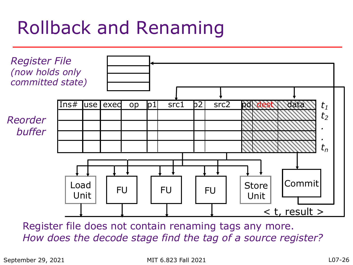# Rollback and Renaming



Register file does not contain renaming tags any more. *How does the decode stage find the tag of a source register?*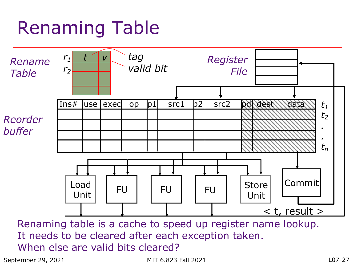# Renaming Table



Renaming table is a cache to speed up register name lookup. It needs to be cleared after each exception taken. When else are valid bits cleared?

September 29, 2021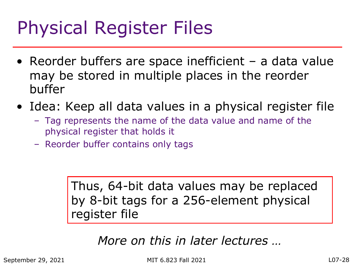# Physical Register Files

- Reorder buffers are space inefficient a data value may be stored in multiple places in the reorder buffer
- Idea: Keep all data values in a physical register file
	- Tag represents the name of the data value and name of the physical register that holds it
	- Reorder buffer contains only tags

Thus, 64-bit data values may be replaced by 8-bit tags for a 256-element physical register file

#### *More on this in later lectures …*

September 29, 2021